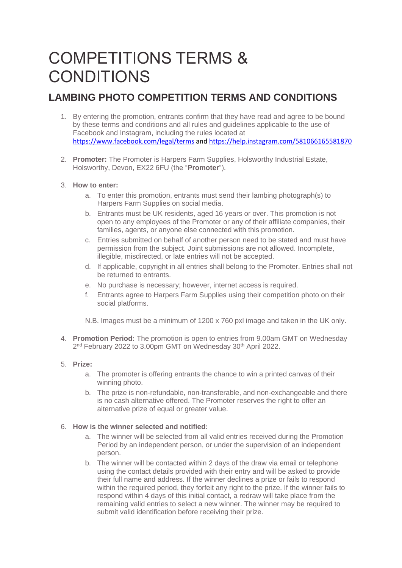# COMPETITIONS TERMS & **CONDITIONS**

## **LAMBING PHOTO COMPETITION TERMS AND CONDITIONS**

- 1. By entering the promotion, entrants confirm that they have read and agree to be bound by these terms and conditions and all rules and guidelines applicable to the use of Facebook and Instagram, including the rules located at <https://www.facebook.com/legal/terms> an[d https://help.instagram.com/581066165581870](https://help.instagram.com/581066165581870)
- 2. **Promoter:** The Promoter is Harpers Farm Supplies, Holsworthy Industrial Estate, Holsworthy, Devon, EX22 6FU (the "**Promoter**").

### 3. **How to enter:**

- a. To enter this promotion, entrants must send their lambing photograph(s) to Harpers Farm Supplies on social media.
- b. Entrants must be UK residents, aged 16 years or over. This promotion is not open to any employees of the Promoter or any of their affiliate companies, their families, agents, or anyone else connected with this promotion.
- c. Entries submitted on behalf of another person need to be stated and must have permission from the subject. Joint submissions are not allowed. Incomplete, illegible, misdirected, or late entries will not be accepted.
- d. If applicable, copyright in all entries shall belong to the Promoter. Entries shall not be returned to entrants.
- e. No purchase is necessary; however, internet access is required.
- f. Entrants agree to Harpers Farm Supplies using their competition photo on their social platforms.

N.B. Images must be a minimum of 1200 x 760 pxl image and taken in the UK only.

4. **Promotion Period:** The promotion is open to entries from 9.00am GMT on Wednesday 2<sup>nd</sup> February 2022 to 3.00pm GMT on Wednesday 30<sup>th</sup> April 2022.

### 5. **Prize:**

- a. The promoter is offering entrants the chance to win a printed canvas of their winning photo.
- b. The prize is non-refundable, non-transferable, and non-exchangeable and there is no cash alternative offered. The Promoter reserves the right to offer an alternative prize of equal or greater value.

### 6. **How is the winner selected and notified:**

- a. The winner will be selected from all valid entries received during the Promotion Period by an independent person, or under the supervision of an independent person.
- b. The winner will be contacted within 2 days of the draw via email or telephone using the contact details provided with their entry and will be asked to provide their full name and address. If the winner declines a prize or fails to respond within the required period, they forfeit any right to the prize. If the winner fails to respond within 4 days of this initial contact, a redraw will take place from the remaining valid entries to select a new winner. The winner may be required to submit valid identification before receiving their prize.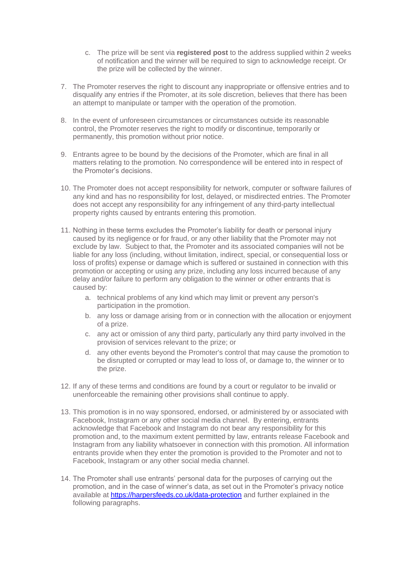- c. The prize will be sent via **registered post** to the address supplied within 2 weeks of notification and the winner will be required to sign to acknowledge receipt. Or the prize will be collected by the winner.
- 7. The Promoter reserves the right to discount any inappropriate or offensive entries and to disqualify any entries if the Promoter, at its sole discretion, believes that there has been an attempt to manipulate or tamper with the operation of the promotion.
- 8. In the event of unforeseen circumstances or circumstances outside its reasonable control, the Promoter reserves the right to modify or discontinue, temporarily or permanently, this promotion without prior notice.
- 9. Entrants agree to be bound by the decisions of the Promoter, which are final in all matters relating to the promotion. No correspondence will be entered into in respect of the Promoter's decisions.
- 10. The Promoter does not accept responsibility for network, computer or software failures of any kind and has no responsibility for lost, delayed, or misdirected entries. The Promoter does not accept any responsibility for any infringement of any third-party intellectual property rights caused by entrants entering this promotion.
- 11. Nothing in these terms excludes the Promoter's liability for death or personal injury caused by its negligence or for fraud, or any other liability that the Promoter may not exclude by law. Subject to that, the Promoter and its associated companies will not be liable for any loss (including, without limitation, indirect, special, or consequential loss or loss of profits) expense or damage which is suffered or sustained in connection with this promotion or accepting or using any prize, including any loss incurred because of any delay and/or failure to perform any obligation to the winner or other entrants that is caused by:
	- a. technical problems of any kind which may limit or prevent any person's participation in the promotion.
	- b. any loss or damage arising from or in connection with the allocation or enjoyment of a prize.
	- c. any act or omission of any third party, particularly any third party involved in the provision of services relevant to the prize; or
	- d. any other events beyond the Promoter's control that may cause the promotion to be disrupted or corrupted or may lead to loss of, or damage to, the winner or to the prize.
- 12. If any of these terms and conditions are found by a court or regulator to be invalid or unenforceable the remaining other provisions shall continue to apply.
- 13. This promotion is in no way sponsored, endorsed, or administered by or associated with Facebook, Instagram or any other social media channel. By entering, entrants acknowledge that Facebook and Instagram do not bear any responsibility for this promotion and, to the maximum extent permitted by law, entrants release Facebook and Instagram from any liability whatsoever in connection with this promotion. All information entrants provide when they enter the promotion is provided to the Promoter and not to Facebook, Instagram or any other social media channel.
- 14. The Promoter shall use entrants' personal data for the purposes of carrying out the promotion, and in the case of winner's data, as set out in the Promoter's privacy notice available at <https://harpersfeeds.co.uk/data-protection> and further explained in the following paragraphs.